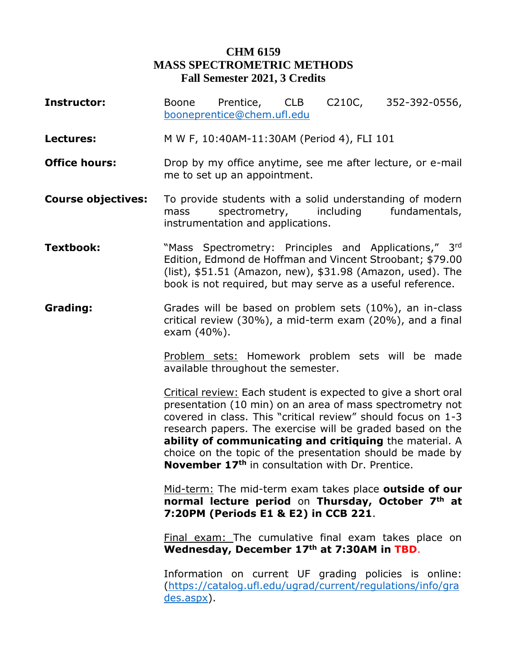## **CHM 6159 MASS SPECTROMETRIC METHODS Fall Semester 2021, 3 Credits**

- **Instructor:** Boone Prentice, CLB C210C, 352-392-0556, [booneprentice@chem.ufl.edu](mailto:booneprentice@chem.ufl.edu)
- **Lectures:** M W F, 10:40AM-11:30AM (Period 4), FLI 101
- **Office hours:** Drop by my office anytime, see me after lecture, or e-mail me to set up an appointment.
- **Course objectives:** To provide students with a solid understanding of modern mass spectrometry, including fundamentals, instrumentation and applications.
- **Textbook:** "Mass Spectrometry: Principles and Applications," 3rd Edition, Edmond de Hoffman and Vincent Stroobant; \$79.00 (list), \$51.51 (Amazon, new), \$31.98 (Amazon, used). The book is not required, but may serve as a useful reference.
- **Grading:** Grades will be based on problem sets (10%), an in-class critical review (30%), a mid-term exam (20%), and a final exam (40%).

Problem sets: Homework problem sets will be made available throughout the semester.

Critical review: Each student is expected to give a short oral presentation (10 min) on an area of mass spectrometry not covered in class. This "critical review" should focus on 1-3 research papers. The exercise will be graded based on the **ability of communicating and critiquing** the material. A choice on the topic of the presentation should be made by **November 17th** in consultation with Dr. Prentice.

Mid-term: The mid-term exam takes place **outside of our normal lecture period** on **Thursday, October 7th at 7:20PM (Periods E1 & E2) in CCB 221**.

Final exam: The cumulative final exam takes place on **Wednesday, December 17th at 7:30AM in TBD**.

Information on current UF grading policies is online: [\(https://catalog.ufl.edu/ugrad/current/regulations/info/gra](https://catalog.ufl.edu/ugrad/current/regulations/info/grades.aspx) [des.aspx\)](https://catalog.ufl.edu/ugrad/current/regulations/info/grades.aspx).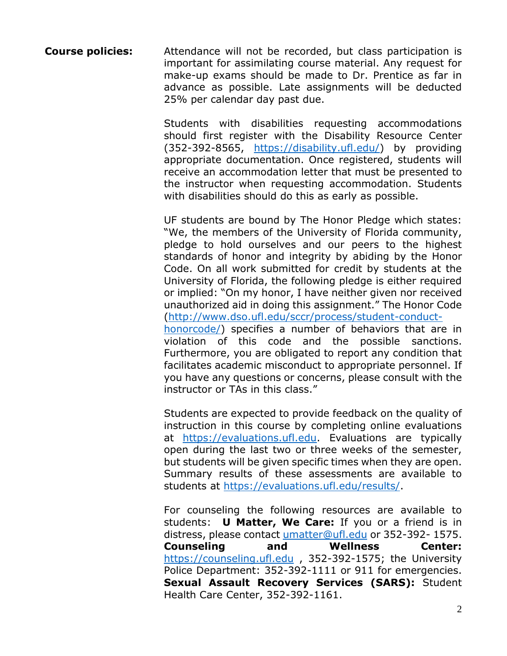**Course policies:** Attendance will not be recorded, but class participation is important for assimilating course material. Any request for make-up exams should be made to Dr. Prentice as far in advance as possible. Late assignments will be deducted 25% per calendar day past due.

> Students with disabilities requesting accommodations should first register with the Disability Resource Center (352-392-8565, [https://disability.ufl.edu/\)](https://disability.ufl.edu/) by providing appropriate documentation. Once registered, students will receive an accommodation letter that must be presented to the instructor when requesting accommodation. Students with disabilities should do this as early as possible.

> UF students are bound by The Honor Pledge which states: "We, the members of the University of Florida community, pledge to hold ourselves and our peers to the highest standards of honor and integrity by abiding by the Honor Code. On all work submitted for credit by students at the University of Florida, the following pledge is either required or implied: "On my honor, I have neither given nor received unauthorized aid in doing this assignment." The Honor Code [\(http://www.dso.ufl.edu/sccr/process/student-conduct](http://www.dso.ufl.edu/sccr/process/student-conduct-honorcode/)[honorcode/\)](http://www.dso.ufl.edu/sccr/process/student-conduct-honorcode/) specifies a number of behaviors that are in violation of this code and the possible sanctions. Furthermore, you are obligated to report any condition that facilitates academic misconduct to appropriate personnel. If you have any questions or concerns, please consult with the instructor or TAs in this class."

> Students are expected to provide feedback on the quality of instruction in this course by completing online evaluations at [https://evaluations.ufl.edu.](https://evaluations.ufl.edu/) Evaluations are typically open during the last two or three weeks of the semester, but students will be given specific times when they are open. Summary results of these assessments are available to students at [https://evaluations.ufl.edu/results/.](https://evaluations.ufl.edu/results/)

> For counseling the following resources are available to students: **U Matter, We Care:** If you or a friend is in distress, please contact [umatter@ufl.edu](mailto:umatter@ufl.edu) or 352-392- 1575. **Counseling and Wellness Center:** [https://counseling.ufl.edu](https://counseling.ufl.edu/) , 352-392-1575; the University Police Department: 352-392-1111 or 911 for emergencies. **Sexual Assault Recovery Services (SARS):** Student Health Care Center, 352-392-1161.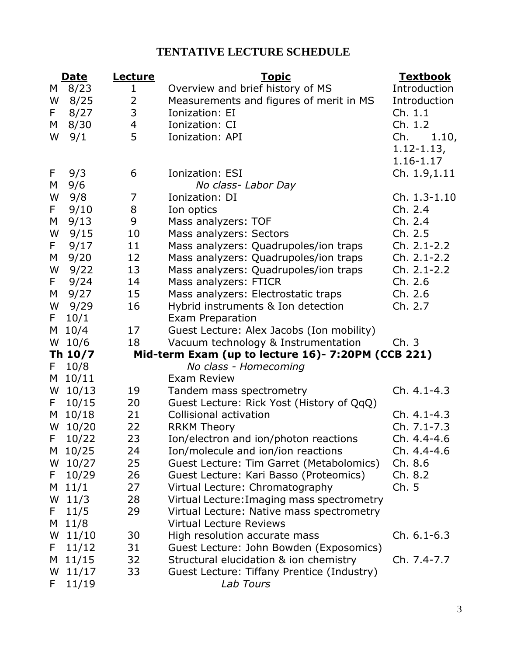## **TENTATIVE LECTURE SCHEDULE**

|                                                               | <b>Date</b> | <u>Lecture</u> | <u>Topic</u>                               | <u>Textbook</u> |  |
|---------------------------------------------------------------|-------------|----------------|--------------------------------------------|-----------------|--|
| M                                                             | 8/23        | 1              | Overview and brief history of MS           | Introduction    |  |
| W                                                             | 8/25        | $\overline{2}$ | Measurements and figures of merit in MS    | Introduction    |  |
| F.                                                            | 8/27        | 3              | Ionization: EI                             | Ch. 1.1         |  |
| M                                                             | 8/30        | $\overline{4}$ | Ionization: CI                             | Ch. 1.2         |  |
| W                                                             | 9/1         | 5              | Ionization: API                            | Ch.<br>1.10,    |  |
|                                                               |             |                |                                            | $1.12 - 1.13,$  |  |
|                                                               |             |                |                                            | 1.16-1.17       |  |
| F,                                                            | 9/3         | 6              | <b>Ionization: ESI</b>                     | Ch. 1.9,1.11    |  |
| M                                                             | 9/6         |                | No class- Labor Day                        |                 |  |
| W                                                             | 9/8         | $\overline{7}$ | Ionization: DI                             | Ch. 1.3-1.10    |  |
| F.                                                            | 9/10        | 8              | Ion optics                                 | Ch. 2.4         |  |
| М                                                             | 9/13        | 9              | Mass analyzers: TOF                        | Ch. 2.4         |  |
| W                                                             | 9/15        | 10             | Mass analyzers: Sectors                    | Ch. 2.5         |  |
| F.                                                            | 9/17        | 11             | Mass analyzers: Quadrupoles/ion traps      | Ch. 2.1-2.2     |  |
| М                                                             | 9/20        | 12             | Mass analyzers: Quadrupoles/ion traps      | Ch. 2.1-2.2     |  |
| W                                                             | 9/22        | 13             | Mass analyzers: Quadrupoles/ion traps      | Ch. 2.1-2.2     |  |
| F.                                                            | 9/24        | 14             | Mass analyzers: FTICR                      | Ch. 2.6         |  |
| M                                                             | 9/27        | 15             | Mass analyzers: Electrostatic traps        | Ch. 2.6         |  |
| W                                                             | 9/29        | 16             | Hybrid instruments & Ion detection         | Ch. 2.7         |  |
| F.                                                            | 10/1        |                | Exam Preparation                           |                 |  |
| M                                                             | 10/4        | 17             | Guest Lecture: Alex Jacobs (Ion mobility)  |                 |  |
| W                                                             | 10/6        | 18             | Vacuum technology & Instrumentation        | Ch.3            |  |
| Mid-term Exam (up to lecture 16)- 7:20PM (CCB 221)<br>Th 10/7 |             |                |                                            |                 |  |
| F.                                                            | 10/8        |                | No class - Homecoming                      |                 |  |
|                                                               | M 10/11     |                | <b>Exam Review</b>                         |                 |  |
|                                                               | $W$ 10/13   | 19             | Tandem mass spectrometry                   | Ch. 4.1-4.3     |  |
| F.                                                            | 10/15       | 20             | Guest Lecture: Rick Yost (History of QqQ)  |                 |  |
|                                                               | M 10/18     | 21             | Collisional activation                     | Ch. 4.1-4.3     |  |
|                                                               | W 10/20     | 22             | <b>RRKM Theory</b>                         | Ch. 7.1-7.3     |  |
| F.                                                            | 10/22       | 23             | Ion/electron and ion/photon reactions      | Ch. 4.4-4.6     |  |
|                                                               | M 10/25     | 24             | Ion/molecule and ion/ion reactions         | Ch. 4.4-4.6     |  |
|                                                               | $W$ 10/27   | 25             | Guest Lecture: Tim Garret (Metabolomics)   | Ch. 8.6         |  |
|                                                               | $F = 10/29$ | 26             | Guest Lecture: Kari Basso (Proteomics)     | Ch. 8.2         |  |
|                                                               | $M$ 11/1    | 27             | Virtual Lecture: Chromatography            | Ch.5            |  |
|                                                               | $W$ 11/3    | 28             | Virtual Lecture: Imaging mass spectrometry |                 |  |
| F.                                                            | 11/5        | 29             | Virtual Lecture: Native mass spectrometry  |                 |  |
|                                                               | $M$ 11/8    |                | <b>Virtual Lecture Reviews</b>             |                 |  |
|                                                               | $W$ 11/10   | 30             | High resolution accurate mass              | $Ch. 6.1 - 6.3$ |  |
|                                                               | $F = 11/12$ | 31             | Guest Lecture: John Bowden (Exposomics)    |                 |  |
|                                                               | M $11/15$   | 32             | Structural elucidation & ion chemistry     | Ch. 7.4-7.7     |  |
|                                                               | $W$ 11/17   | 33             | Guest Lecture: Tiffany Prentice (Industry) |                 |  |
| F.                                                            | 11/19       |                | Lab Tours                                  |                 |  |